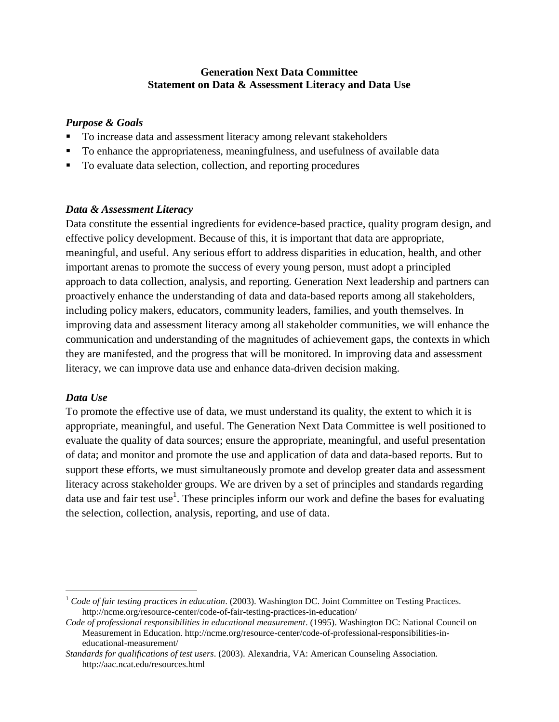## **Generation Next Data Committee Statement on Data & Assessment Literacy and Data Use**

### *Purpose & Goals*

- To increase data and assessment literacy among relevant stakeholders
- To enhance the appropriateness, meaningfulness, and usefulness of available data
- To evaluate data selection, collection, and reporting procedures

### *Data & Assessment Literacy*

Data constitute the essential ingredients for evidence-based practice, quality program design, and effective policy development. Because of this, it is important that data are appropriate, meaningful, and useful. Any serious effort to address disparities in education, health, and other important arenas to promote the success of every young person, must adopt a principled approach to data collection, analysis, and reporting. Generation Next leadership and partners can proactively enhance the understanding of data and data-based reports among all stakeholders, including policy makers, educators, community leaders, families, and youth themselves. In improving data and assessment literacy among all stakeholder communities, we will enhance the communication and understanding of the magnitudes of achievement gaps, the contexts in which they are manifested, and the progress that will be monitored. In improving data and assessment literacy, we can improve data use and enhance data-driven decision making.

## *Data Use*

 $\overline{a}$ 

To promote the effective use of data, we must understand its quality, the extent to which it is appropriate, meaningful, and useful. The Generation Next Data Committee is well positioned to evaluate the quality of data sources; ensure the appropriate, meaningful, and useful presentation of data; and monitor and promote the use and application of data and data-based reports. But to support these efforts, we must simultaneously promote and develop greater data and assessment literacy across stakeholder groups. We are driven by a set of principles and standards regarding data use and fair test use<sup>1</sup>. These principles inform our work and define the bases for evaluating the selection, collection, analysis, reporting, and use of data.

<sup>&</sup>lt;sup>1</sup> Code of fair testing practices in education. (2003). Washington DC. Joint Committee on Testing Practices. http://ncme.org/resource-center/code-of-fair-testing-practices-in-education/

*Code of professional responsibilities in educational measurement*. (1995). Washington DC: National Council on Measurement in Education. http://ncme.org/resource-center/code-of-professional-responsibilities-ineducational-measurement/

*Standards for qualifications of test users*. (2003). Alexandria, VA: American Counseling Association. http://aac.ncat.edu/resources.html